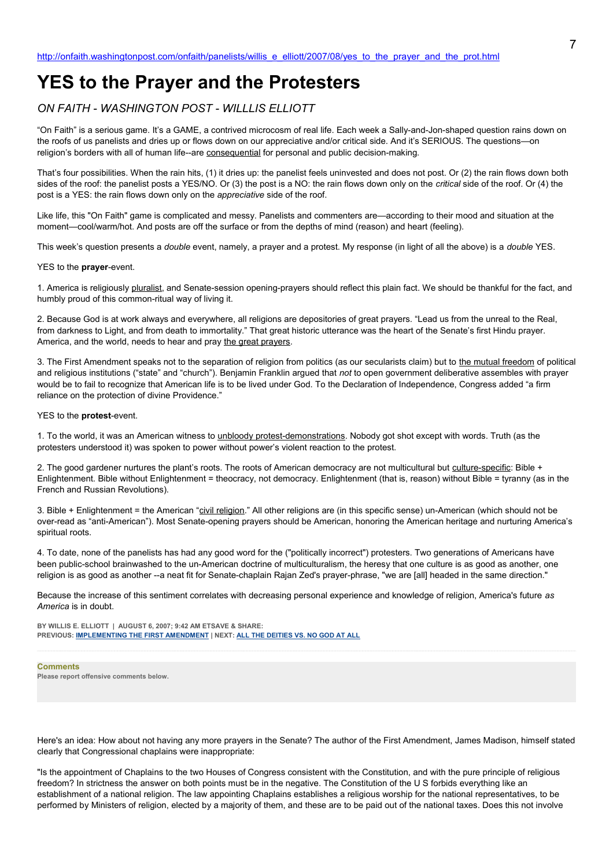# **YES to the Prayer and the Protesters**

## *ON FAITH - WASHINGTON POST - WILLLIS ELLIOTT*

"On Faith" is a serious game. It's a GAME, a contrived microcosm of real life. Each week a Sally-and-Jon-shaped question rains down on the roofs of us panelists and dries up or flows down on our appreciative and/or critical side. And it's SERIOUS. The questions—on religion's borders with all of human life--are consequential for personal and public decision-making.

That's four possibilities. When the rain hits, (1) it dries up: the panelist feels uninvested and does not post. Or (2) the rain flows down both sides of the roof: the panelist posts a YES/NO. Or (3) the post is a NO: the rain flows down only on the *critical* side of the roof. Or (4) the post is a YES: the rain flows down only on the *appreciative* side of the roof.

Like life, this "On Faith" game is complicated and messy. Panelists and commenters are—according to their mood and situation at the moment—cool/warm/hot. And posts are off the surface or from the depths of mind (reason) and heart (feeling).

This week's question presents a *double* event, namely, a prayer and a protest. My response (in light of all the above) is a *double* YES.

YES to the **prayer**-event.

1. America is religiously pluralist, and Senate-session opening-prayers should reflect this plain fact. We should be thankful for the fact, and humbly proud of this common-ritual way of living it.

2. Because God is at work always and everywhere, all religions are depositories of great prayers. "Lead us from the unreal to the Real, from darkness to Light, and from death to immortality." That great historic utterance was the heart of the Senate's first Hindu prayer. America, and the world, needs to hear and pray the great prayers.

3. The First Amendment speaks not to the separation of religion from politics (as our secularists claim) but to the mutual freedom of political and religious institutions ("state" and "church"). Benjamin Franklin argued that *not* to open government deliberative assembles with prayer would be to fail to recognize that American life is to be lived under God. To the Declaration of Independence, Congress added "a firm reliance on the protection of divine Providence."

YES to the **protest**-event.

1. To the world, it was an American witness to unbloody protest-demonstrations. Nobody got shot except with words. Truth (as the protesters understood it) was spoken to power without power's violent reaction to the protest.

2. The good gardener nurtures the plant's roots. The roots of American democracy are not multicultural but culture-specific: Bible + Enlightenment. Bible without Enlightenment = theocracy, not democracy. Enlightenment (that is, reason) without Bible = tyranny (as in the French and Russian Revolutions).

3. Bible + Enlightenment = the American "civil religion." All other religions are (in this specific sense) un-American (which should not be over-read as "anti-American"). Most Senate-opening prayers should be American, honoring the American heritage and nurturing America's spiritual roots.

4. To date, none of the panelists has had any good word for the ("politically incorrect") protesters. Two generations of Americans have been public-school brainwashed to the un-American doctrine of multiculturalism, the heresy that one culture is as good as another, one religion is as good as another --a neat fit for Senate-chaplain Rajan Zed's prayer-phrase, "we are [all] headed in the same direction."

Because the increase of this sentiment correlates with decreasing personal experience and knowledge of religion, America's future *as America* is in doubt.

**BY WILLIS E. ELLIOTT | AUGUST 6, 2007; 9:42 AM ETSAVE & SHARE: PREVIOUS: [IMPLEMENTING THE FIRST AMENDMENT](http://onfaith.washingtonpost.com/onfaith/panelists/pamela_k_taylor/2007/08/implementing_the_first_amendme.html) | NEXT: [ALL THE DEITIES VS. NO GOD AT ALL](http://onfaith.washingtonpost.com/onfaith/panelists/anthony_m_stevens-arroyo/2007/08/all_the_deities_vs_no_god_at_a.html)**

**Comments**

**Please report offensive comments below.**

Here's an idea: How about not having any more prayers in the Senate? The author of the First Amendment, James Madison, himself stated clearly that Congressional chaplains were inappropriate:

"Is the appointment of Chaplains to the two Houses of Congress consistent with the Constitution, and with the pure principle of religious freedom? In strictness the answer on both points must be in the negative. The Constitution of the U S forbids everything like an establishment of a national religion. The law appointing Chaplains establishes a religious worship for the national representatives, to be performed by Ministers of religion, elected by a majority of them, and these are to be paid out of the national taxes. Does this not involve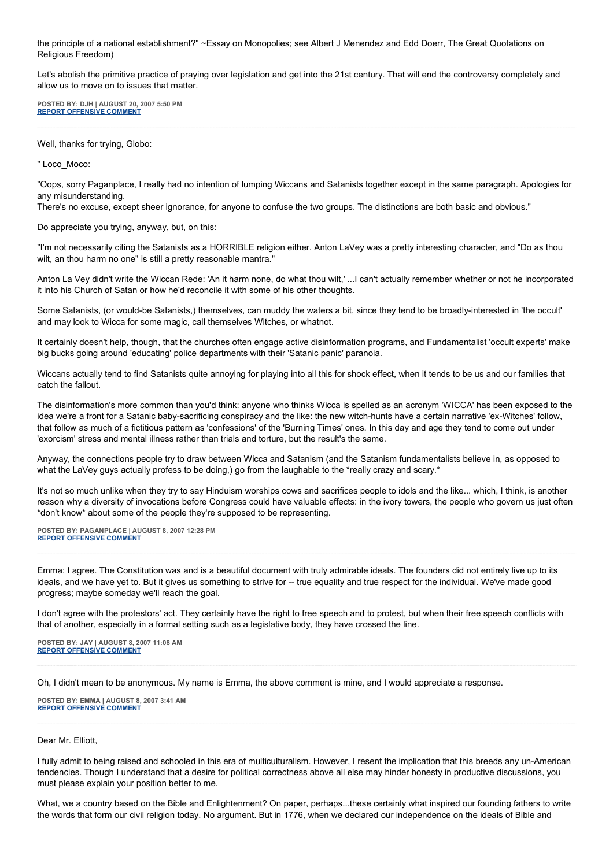the principle of a national establishment?" ~Essay on Monopolies; see Albert J Menendez and Edd Doerr, The Great Quotations on Religious Freedom)

Let's abolish the primitive practice of praying over legislation and get into the 21st century. That will end the controversy completely and allow us to move on to issues that matter.

**POSTED BY: DJH | AUGUST 20, 2007 5:50 PM [REPORT OFFENSIVE COMMENT](mailto:blogs@washingtonpost.com?subject=On%20Faith%20Panelists%20Blog%20%20%7C%20%20DJH%20%20%7C%20%20YES%20to%20the%20Prayer%20and%20the%20Protesters%20%20%7C%20%201251721&body=%0D%0D%0D%0D%0D================%0D?__mode=view%26_type=comment%26id=1251721%26blog_id=618)**

Well, thanks for trying, Globo:

" Loco\_Moco:

"Oops, sorry Paganplace, I really had no intention of lumping Wiccans and Satanists together except in the same paragraph. Apologies for any misunderstanding.

There's no excuse, except sheer ignorance, for anyone to confuse the two groups. The distinctions are both basic and obvious."

Do appreciate you trying, anyway, but, on this:

"I'm not necessarily citing the Satanists as a HORRIBLE religion either. Anton LaVey was a pretty interesting character, and "Do as thou wilt, an thou harm no one" is still a pretty reasonable mantra."

Anton La Vey didn't write the Wiccan Rede: 'An it harm none, do what thou wilt,' ...I can't actually remember whether or not he incorporated it into his Church of Satan or how he'd reconcile it with some of his other thoughts.

Some Satanists, (or would-be Satanists,) themselves, can muddy the waters a bit, since they tend to be broadly-interested in 'the occult' and may look to Wicca for some magic, call themselves Witches, or whatnot.

It certainly doesn't help, though, that the churches often engage active disinformation programs, and Fundamentalist 'occult experts' make big bucks going around 'educating' police departments with their 'Satanic panic' paranoia.

Wiccans actually tend to find Satanists quite annoying for playing into all this for shock effect, when it tends to be us and our families that catch the fallout.

The disinformation's more common than you'd think: anyone who thinks Wicca is spelled as an acronym 'WICCA' has been exposed to the idea we're a front for a Satanic baby-sacrificing conspiracy and the like: the new witch-hunts have a certain narrative 'ex-Witches' follow, that follow as much of a fictitious pattern as 'confessions' of the 'Burning Times' ones. In this day and age they tend to come out under 'exorcism' stress and mental illness rather than trials and torture, but the result's the same.

Anyway, the connections people try to draw between Wicca and Satanism (and the Satanism fundamentalists believe in, as opposed to what the LaVey guys actually profess to be doing,) go from the laughable to the \*really crazy and scary.\*

It's not so much unlike when they try to say Hinduism worships cows and sacrifices people to idols and the like... which, I think, is another reason why a diversity of invocations before Congress could have valuable effects: in the ivory towers, the people who govern us just often \*don't know\* about some of the people they're supposed to be representing.

**POSTED BY: PAGANPLACE | AUGUST 8, 2007 12:28 PM [REPORT OFFENSIVE COMMENT](mailto:blogs@washingtonpost.com?subject=On%20Faith%20Panelists%20Blog%20%20%7C%20%20Paganplace%20%20%7C%20%20YES%20to%20the%20Prayer%20and%20the%20Protesters%20%20%7C%20%201228917&body=%0D%0D%0D%0D%0D================%0D?__mode=view%26_type=comment%26id=1228917%26blog_id=618)**

Emma: I agree. The Constitution was and is a beautiful document with truly admirable ideals. The founders did not entirely live up to its ideals, and we have yet to. But it gives us something to strive for -- true equality and true respect for the individual. We've made good progress; maybe someday we'll reach the goal.

I don't agree with the protestors' act. They certainly have the right to free speech and to protest, but when their free speech conflicts with that of another, especially in a formal setting such as a legislative body, they have crossed the line.

**POSTED BY: JAY | AUGUST 8, 2007 11:08 AM [REPORT OFFENSIVE COMMENT](mailto:blogs@washingtonpost.com?subject=On%20Faith%20Panelists%20Blog%20%20%7C%20%20jay%20%20%7C%20%20YES%20to%20the%20Prayer%20and%20the%20Protesters%20%20%7C%20%201228777&body=%0D%0D%0D%0D%0D================%0D?__mode=view%26_type=comment%26id=1228777%26blog_id=618)**

Oh, I didn't mean to be anonymous. My name is Emma, the above comment is mine, and I would appreciate a response.

**POSTED BY: EMMA | AUGUST 8, 2007 3:41 AM [REPORT OFFENSIVE COMMENT](mailto:blogs@washingtonpost.com?subject=On%20Faith%20Panelists%20Blog%20%20%7C%20%20Emma%20%20%7C%20%20YES%20to%20the%20Prayer%20and%20the%20Protesters%20%20%7C%20%201227936&body=%0D%0D%0D%0D%0D================%0D?__mode=view%26_type=comment%26id=1227936%26blog_id=618)**

Dear Mr. Filiott,

I fully admit to being raised and schooled in this era of multiculturalism. However, I resent the implication that this breeds any un-American tendencies. Though I understand that a desire for political correctness above all else may hinder honesty in productive discussions, you must please explain your position better to me.

What, we a country based on the Bible and Enlightenment? On paper, perhaps...these certainly what inspired our founding fathers to write the words that form our civil religion today. No argument. But in 1776, when we declared our independence on the ideals of Bible and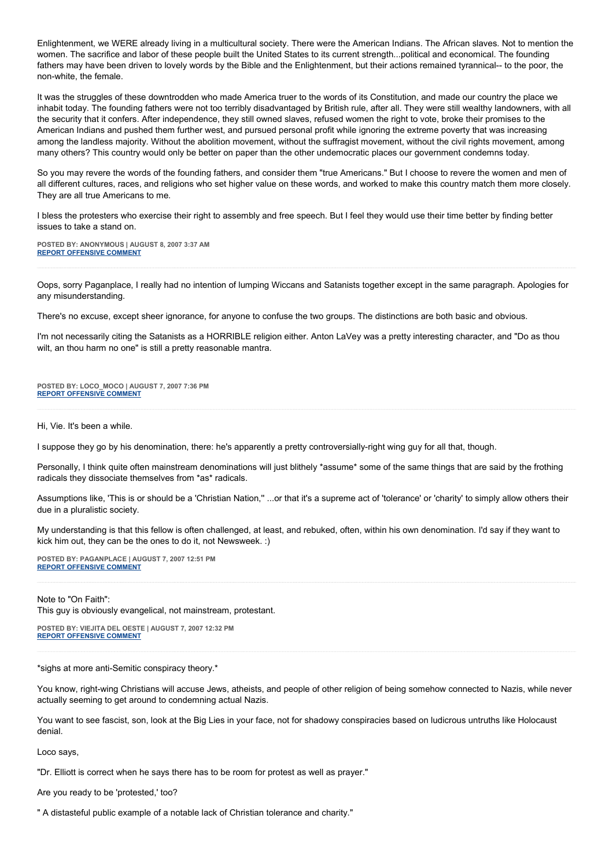Enlightenment, we WERE already living in a multicultural society. There were the American Indians. The African slaves. Not to mention the women. The sacrifice and labor of these people built the United States to its current strength...political and economical. The founding fathers may have been driven to lovely words by the Bible and the Enlightenment, but their actions remained tyrannical-- to the poor, the non-white, the female.

It was the struggles of these downtrodden who made America truer to the words of its Constitution, and made our country the place we inhabit today. The founding fathers were not too terribly disadvantaged by British rule, after all. They were still wealthy landowners, with all the security that it confers. After independence, they still owned slaves, refused women the right to vote, broke their promises to the American Indians and pushed them further west, and pursued personal profit while ignoring the extreme poverty that was increasing among the landless majority. Without the abolition movement, without the suffragist movement, without the civil rights movement, among many others? This country would only be better on paper than the other undemocratic places our government condemns today.

So you may revere the words of the founding fathers, and consider them "true Americans." But I choose to revere the women and men of all different cultures, races, and religions who set higher value on these words, and worked to make this country match them more closely. They are all true Americans to me.

I bless the protesters who exercise their right to assembly and free speech. But I feel they would use their time better by finding better issues to take a stand on.

**POSTED BY: ANONYMOUS | AUGUST 8, 2007 3:37 AM [REPORT OFFENSIVE COMMENT](mailto:blogs@washingtonpost.com?subject=On%20Faith%20Panelists%20Blog%20%20%7C%20%20Anonymous%20%20%7C%20%20YES%20to%20the%20Prayer%20and%20the%20Protesters%20%20%7C%20%201227933&body=%0D%0D%0D%0D%0D================%0D?__mode=view%26_type=comment%26id=1227933%26blog_id=618)**

Oops, sorry Paganplace, I really had no intention of lumping Wiccans and Satanists together except in the same paragraph. Apologies for any misunderstanding.

There's no excuse, except sheer ignorance, for anyone to confuse the two groups. The distinctions are both basic and obvious.

I'm not necessarily citing the Satanists as a HORRIBLE religion either. Anton LaVey was a pretty interesting character, and "Do as thou wilt, an thou harm no one" is still a pretty reasonable mantra.

**POSTED BY: LOCO\_MOCO | AUGUST 7, 2007 7:36 PM [REPORT OFFENSIVE COMMENT](mailto:blogs@washingtonpost.com?subject=On%20Faith%20Panelists%20Blog%20%20%7C%20%20Loco_Moco%20%20%7C%20%20YES%20to%20the%20Prayer%20and%20the%20Protesters%20%20%7C%20%201227163&body=%0D%0D%0D%0D%0D================%0D?__mode=view%26_type=comment%26id=1227163%26blog_id=618)**

Hi, Vie. It's been a while.

I suppose they go by his denomination, there: he's apparently a pretty controversially-right wing guy for all that, though.

Personally, I think quite often mainstream denominations will just blithely \*assume\* some of the same things that are said by the frothing radicals they dissociate themselves from \*as\* radicals.

Assumptions like, 'This is or should be a 'Christian Nation,'' ...or that it's a supreme act of 'tolerance' or 'charity' to simply allow others their due in a pluralistic society.

My understanding is that this fellow is often challenged, at least, and rebuked, often, within his own denomination. I'd say if they want to kick him out, they can be the ones to do it, not Newsweek. :)

**POSTED BY: PAGANPLACE | AUGUST 7, 2007 12:51 PM [REPORT OFFENSIVE COMMENT](mailto:blogs@washingtonpost.com?subject=On%20Faith%20Panelists%20Blog%20%20%7C%20%20Paganplace%20%20%7C%20%20YES%20to%20the%20Prayer%20and%20the%20Protesters%20%20%7C%20%201226381&body=%0D%0D%0D%0D%0D================%0D?__mode=view%26_type=comment%26id=1226381%26blog_id=618)**

Note to "On Faith": This guy is obviously evangelical, not mainstream, protestant.

**POSTED BY: VIEJITA DEL OESTE | AUGUST 7, 2007 12:32 PM [REPORT OFFENSIVE COMMENT](mailto:blogs@washingtonpost.com?subject=On%20Faith%20Panelists%20Blog%20%20%7C%20%20Viejita%20del%20oeste%20%20%7C%20%20YES%20to%20the%20Prayer%20and%20the%20Protesters%20%20%7C%20%201226354&body=%0D%0D%0D%0D%0D================%0D?__mode=view%26_type=comment%26id=1226354%26blog_id=618)**

\*sighs at more anti-Semitic conspiracy theory.\*

You know, right-wing Christians will accuse Jews, atheists, and people of other religion of being somehow connected to Nazis, while never actually seeming to get around to condemning actual Nazis.

You want to see fascist, son, look at the Big Lies in your face, not for shadowy conspiracies based on ludicrous untruths like Holocaust denial.

Loco says,

"Dr. Elliott is correct when he says there has to be room for protest as well as prayer."

Are you ready to be 'protested,' too?

" A distasteful public example of a notable lack of Christian tolerance and charity."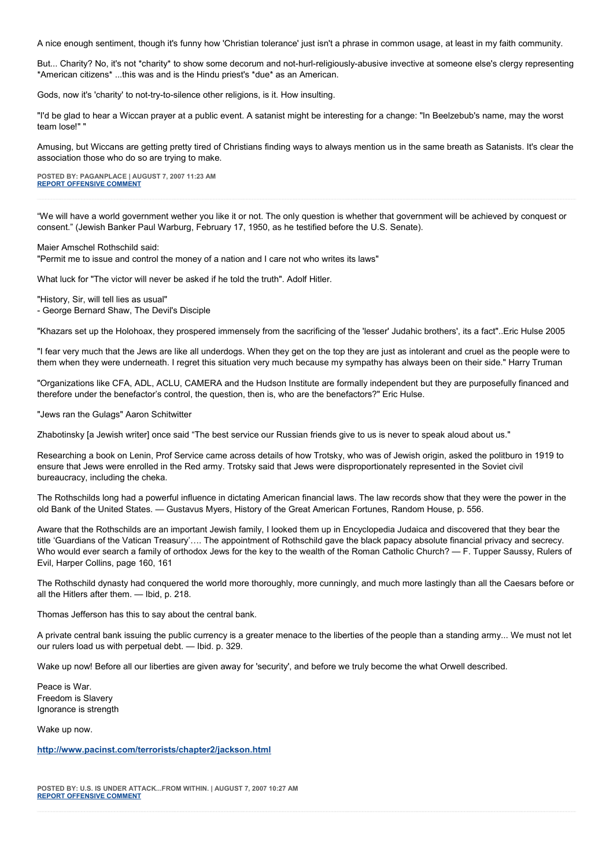A nice enough sentiment, though it's funny how 'Christian tolerance' just isn't a phrase in common usage, at least in my faith community.

But... Charity? No, it's not \*charity\* to show some decorum and not-hurl-religiously-abusive invective at someone else's clergy representing \*American citizens\* ...this was and is the Hindu priest's \*due\* as an American.

Gods, now it's 'charity' to not-try-to-silence other religions, is it. How insulting.

"I'd be glad to hear a Wiccan prayer at a public event. A satanist might be interesting for a change: "In Beelzebub's name, may the worst team lose!" "

Amusing, but Wiccans are getting pretty tired of Christians finding ways to always mention us in the same breath as Satanists. It's clear the association those who do so are trying to make.

**POSTED BY: PAGANPLACE | AUGUST 7, 2007 11:23 AM [REPORT OFFENSIVE COMMENT](mailto:blogs@washingtonpost.com?subject=On%20Faith%20Panelists%20Blog%20%20%7C%20%20Paganplace%20%20%7C%20%20YES%20to%20the%20Prayer%20and%20the%20Protesters%20%20%7C%20%201226236&body=%0D%0D%0D%0D%0D================%0D?__mode=view%26_type=comment%26id=1226236%26blog_id=618)**

"We will have a world government wether you like it or not. The only question is whether that government will be achieved by conquest or consent." (Jewish Banker Paul Warburg, February 17, 1950, as he testified before the U.S. Senate).

Maier Amschel Rothschild said:

"Permit me to issue and control the money of a nation and I care not who writes its laws"

What luck for "The victor will never be asked if he told the truth". Adolf Hitler.

"History, Sir, will tell lies as usual"

- George Bernard Shaw, The Devil's Disciple

"Khazars set up the Holohoax, they prospered immensely from the sacrificing of the 'lesser' Judahic brothers', its a fact"..Eric Hulse 2005

"I fear very much that the Jews are like all underdogs. When they get on the top they are just as intolerant and cruel as the people were to them when they were underneath. I regret this situation very much because my sympathy has always been on their side." Harry Truman

"Organizations like CFA, ADL, ACLU, CAMERA and the Hudson Institute are formally independent but they are purposefully financed and therefore under the benefactor's control, the question, then is, who are the benefactors?" Eric Hulse.

"Jews ran the Gulags" Aaron Schitwitter

Zhabotinsky [a Jewish writer] once said "The best service our Russian friends give to us is never to speak aloud about us."

Researching a book on Lenin, Prof Service came across details of how Trotsky, who was of Jewish origin, asked the politburo in 1919 to ensure that Jews were enrolled in the Red army. Trotsky said that Jews were disproportionately represented in the Soviet civil bureaucracy, including the cheka.

The Rothschilds long had a powerful influence in dictating American financial laws. The law records show that they were the power in the old Bank of the United States. — Gustavus Myers, History of the Great American Fortunes, Random House, p. 556.

Aware that the Rothschilds are an important Jewish family, I looked them up in Encyclopedia Judaica and discovered that they bear the title 'Guardians of the Vatican Treasury'…. The appointment of Rothschild gave the black papacy absolute financial privacy and secrecy. Who would ever search a family of orthodox Jews for the key to the wealth of the Roman Catholic Church? — F. Tupper Saussy, Rulers of Evil, Harper Collins, page 160, 161

The Rothschild dynasty had conquered the world more thoroughly, more cunningly, and much more lastingly than all the Caesars before or all the Hitlers after them. — Ibid, p. 218.

Thomas Jefferson has this to say about the central bank.

A private central bank issuing the public currency is a greater menace to the liberties of the people than a standing army... We must not let our rulers load us with perpetual debt. — Ibid. p. 329.

Wake up now! Before all our liberties are given away for 'security', and before we truly become the what Orwell described.

Peace is War. Freedom is Slavery Ignorance is strength

Wake up now.

**<http://www.pacinst.com/terrorists/chapter2/jackson.html>**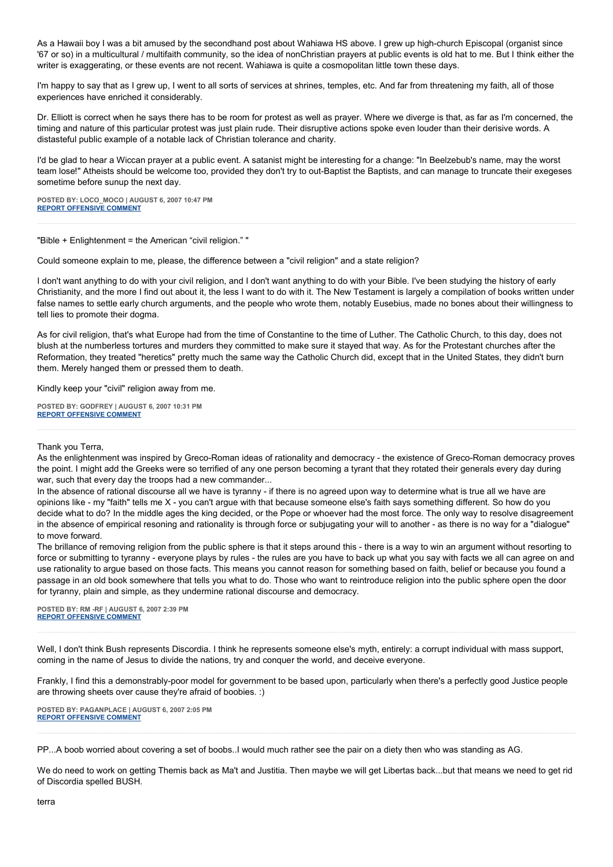As a Hawaii boy I was a bit amused by the secondhand post about Wahiawa HS above. I grew up high-church Episcopal (organist since '67 or so) in a multicultural / multifaith community, so the idea of nonChristian prayers at public events is old hat to me. But I think either the writer is exaggerating, or these events are not recent. Wahiawa is quite a cosmopolitan little town these days.

I'm happy to say that as I grew up, I went to all sorts of services at shrines, temples, etc. And far from threatening my faith, all of those experiences have enriched it considerably.

Dr. Elliott is correct when he says there has to be room for protest as well as prayer. Where we diverge is that, as far as I'm concerned, the timing and nature of this particular protest was just plain rude. Their disruptive actions spoke even louder than their derisive words. A distasteful public example of a notable lack of Christian tolerance and charity.

I'd be glad to hear a Wiccan prayer at a public event. A satanist might be interesting for a change: "In Beelzebub's name, may the worst team lose!" Atheists should be welcome too, provided they don't try to out-Baptist the Baptists, and can manage to truncate their exegeses sometime before sunup the next day.

**POSTED BY: LOCO\_MOCO | AUGUST 6, 2007 10:47 PM [REPORT OFFENSIVE COMMENT](mailto:blogs@washingtonpost.com?subject=On%20Faith%20Panelists%20Blog%20%20%7C%20%20Loco_Moco%20%20%7C%20%20YES%20to%20the%20Prayer%20and%20the%20Protesters%20%20%7C%20%201225175&body=%0D%0D%0D%0D%0D================%0D?__mode=view%26_type=comment%26id=1225175%26blog_id=618)**

"Bible + Enlightenment = the American "civil religion." "

Could someone explain to me, please, the difference between a "civil religion" and a state religion?

I don't want anything to do with your civil religion, and I don't want anything to do with your Bible. I've been studying the history of early Christianity, and the more I find out about it, the less I want to do with it. The New Testament is largely a compilation of books written under false names to settle early church arguments, and the people who wrote them, notably Eusebius, made no bones about their willingness to tell lies to promote their dogma.

As for civil religion, that's what Europe had from the time of Constantine to the time of Luther. The Catholic Church, to this day, does not blush at the numberless tortures and murders they committed to make sure it stayed that way. As for the Protestant churches after the Reformation, they treated "heretics" pretty much the same way the Catholic Church did, except that in the United States, they didn't burn them. Merely hanged them or pressed them to death.

Kindly keep your "civil" religion away from me.

**POSTED BY: GODFREY | AUGUST 6, 2007 10:31 PM [REPORT OFFENSIVE COMMENT](mailto:blogs@washingtonpost.com?subject=On%20Faith%20Panelists%20Blog%20%20%7C%20%20Godfrey%20%20%7C%20%20YES%20to%20the%20Prayer%20and%20the%20Protesters%20%20%7C%20%201225156&body=%0D%0D%0D%0D%0D================%0D?__mode=view%26_type=comment%26id=1225156%26blog_id=618)**

### Thank you Terra,

As the enlightenment was inspired by Greco-Roman ideas of rationality and democracy - the existence of Greco-Roman democracy proves the point. I might add the Greeks were so terrified of any one person becoming a tyrant that they rotated their generals every day during war, such that every day the troops had a new commander...

In the absence of rational discourse all we have is tyranny - if there is no agreed upon way to determine what is true all we have are opinions like - my "faith" tells me X - you can't argue with that because someone else's faith says something different. So how do you decide what to do? In the middle ages the king decided, or the Pope or whoever had the most force. The only way to resolve disagreement in the absence of empirical resoning and rationality is through force or subjugating your will to another - as there is no way for a "dialogue" to move forward.

The brillance of removing religion from the public sphere is that it steps around this - there is a way to win an argument without resorting to force or submitting to tyranny - everyone plays by rules - the rules are you have to back up what you say with facts we all can agree on and use rationality to argue based on those facts. This means you cannot reason for something based on faith, belief or because you found a passage in an old book somewhere that tells you what to do. Those who want to reintroduce religion into the public sphere open the door for tyranny, plain and simple, as they undermine rational discourse and democracy.

**POSTED BY: RM -RF | AUGUST 6, 2007 2:39 PM [REPORT OFFENSIVE COMMENT](mailto:blogs@washingtonpost.com?subject=On%20Faith%20Panelists%20Blog%20%20%7C%20%20rm%20-rf%20%20%7C%20%20YES%20to%20the%20Prayer%20and%20the%20Protesters%20%20%7C%20%201224119&body=%0D%0D%0D%0D%0D================%0D?__mode=view%26_type=comment%26id=1224119%26blog_id=618)**

Well, I don't think Bush represents Discordia. I think he represents someone else's myth, entirely: a corrupt individual with mass support, coming in the name of Jesus to divide the nations, try and conquer the world, and deceive everyone.

Frankly, I find this a demonstrably-poor model for government to be based upon, particularly when there's a perfectly good Justice people are throwing sheets over cause they're afraid of boobies. :)

**POSTED BY: PAGANPLACE | AUGUST 6, 2007 2:05 PM [REPORT OFFENSIVE COMMENT](mailto:blogs@washingtonpost.com?subject=On%20Faith%20Panelists%20Blog%20%20%7C%20%20Paganplace%20%20%7C%20%20YES%20to%20the%20Prayer%20and%20the%20Protesters%20%20%7C%20%201224051&body=%0D%0D%0D%0D%0D================%0D?__mode=view%26_type=comment%26id=1224051%26blog_id=618)**

PP...A boob worried about covering a set of boobs..I would much rather see the pair on a diety then who was standing as AG.

We do need to work on getting Themis back as Ma't and Justitia. Then maybe we will get Libertas back...but that means we need to get rid of Discordia spelled BUSH.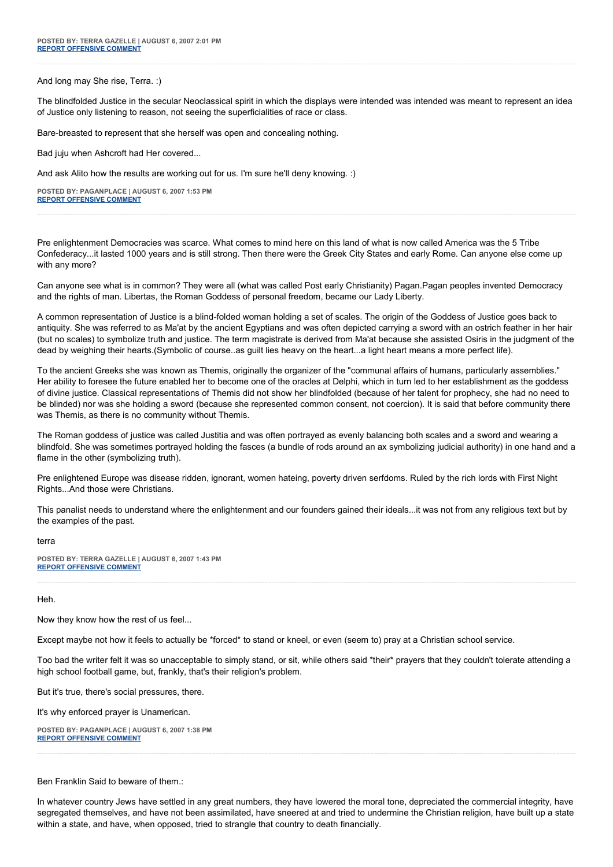And long may She rise, Terra. :)

The blindfolded Justice in the secular Neoclassical spirit in which the displays were intended was intended was meant to represent an idea of Justice only listening to reason, not seeing the superficialities of race or class.

Bare-breasted to represent that she herself was open and concealing nothing.

Bad juju when Ashcroft had Her covered...

And ask Alito how the results are working out for us. I'm sure he'll deny knowing. :)

**POSTED BY: PAGANPLACE | AUGUST 6, 2007 1:53 PM [REPORT OFFENSIVE COMMENT](mailto:blogs@washingtonpost.com?subject=On%20Faith%20Panelists%20Blog%20%20%7C%20%20Paganplace%20%20%7C%20%20YES%20to%20the%20Prayer%20and%20the%20Protesters%20%20%7C%20%201224033&body=%0D%0D%0D%0D%0D================%0D?__mode=view%26_type=comment%26id=1224033%26blog_id=618)**

Pre enlightenment Democracies was scarce. What comes to mind here on this land of what is now called America was the 5 Tribe Confederacy...it lasted 1000 years and is still strong. Then there were the Greek City States and early Rome. Can anyone else come up with any more?

Can anyone see what is in common? They were all (what was called Post early Christianity) Pagan.Pagan peoples invented Democracy and the rights of man. Libertas, the Roman Goddess of personal freedom, became our Lady Liberty.

A common representation of Justice is a blind-folded woman holding a set of scales. The origin of the Goddess of Justice goes back to antiquity. She was referred to as Ma'at by the ancient Egyptians and was often depicted carrying a sword with an ostrich feather in her hair (but no scales) to symbolize truth and justice. The term magistrate is derived from Ma'at because she assisted Osiris in the judgment of the dead by weighing their hearts.(Symbolic of course..as guilt lies heavy on the heart...a light heart means a more perfect life).

To the ancient Greeks she was known as Themis, originally the organizer of the "communal affairs of humans, particularly assemblies." Her ability to foresee the future enabled her to become one of the oracles at Delphi, which in turn led to her establishment as the goddess of divine justice. Classical representations of Themis did not show her blindfolded (because of her talent for prophecy, she had no need to be blinded) nor was she holding a sword (because she represented common consent, not coercion). It is said that before community there was Themis, as there is no community without Themis.

The Roman goddess of justice was called Justitia and was often portrayed as evenly balancing both scales and a sword and wearing a blindfold. She was sometimes portrayed holding the fasces (a bundle of rods around an ax symbolizing judicial authority) in one hand and a flame in the other (symbolizing truth).

Pre enlightened Europe was disease ridden, ignorant, women hateing, poverty driven serfdoms. Ruled by the rich lords with First Night Rights...And those were Christians.

This panalist needs to understand where the enlightenment and our founders gained their ideals...it was not from any religious text but by the examples of the past.

#### terra

**POSTED BY: TERRA GAZELLE | AUGUST 6, 2007 1:43 PM [REPORT OFFENSIVE COMMENT](mailto:blogs@washingtonpost.com?subject=On%20Faith%20Panelists%20Blog%20%20%7C%20%20Terra%20Gazelle%20%20%7C%20%20YES%20to%20the%20Prayer%20and%20the%20Protesters%20%20%7C%20%201224019&body=%0D%0D%0D%0D%0D================%0D?__mode=view%26_type=comment%26id=1224019%26blog_id=618)**

### Heh.

Now they know how the rest of us feel...

Except maybe not how it feels to actually be \*forced\* to stand or kneel, or even (seem to) pray at a Christian school service.

Too bad the writer felt it was so unacceptable to simply stand, or sit, while others said \*their\* prayers that they couldn't tolerate attending a high school football game, but, frankly, that's their religion's problem.

But it's true, there's social pressures, there.

It's why enforced prayer is Unamerican.

**POSTED BY: PAGANPLACE | AUGUST 6, 2007 1:38 PM [REPORT OFFENSIVE COMMENT](mailto:blogs@washingtonpost.com?subject=On%20Faith%20Panelists%20Blog%20%20%7C%20%20Paganplace%20%20%7C%20%20YES%20to%20the%20Prayer%20and%20the%20Protesters%20%20%7C%20%201224013&body=%0D%0D%0D%0D%0D================%0D?__mode=view%26_type=comment%26id=1224013%26blog_id=618)**

Ben Franklin Said to beware of them.:

In whatever country Jews have settled in any great numbers, they have lowered the moral tone, depreciated the commercial integrity, have segregated themselves, and have not been assimilated, have sneered at and tried to undermine the Christian religion, have built up a state within a state, and have, when opposed, tried to strangle that country to death financially.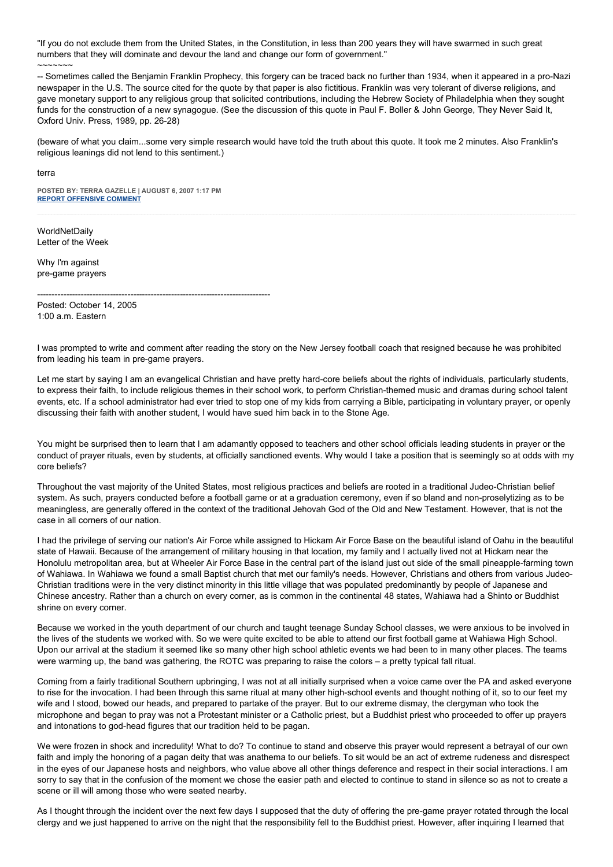"If you do not exclude them from the United States, in the Constitution, in less than 200 years they will have swarmed in such great numbers that they will dominate and devour the land and change our form of government."

 $\sim$  $\sim$  $\sim$  $\sim$  $\sim$  $\sim$ 

-- Sometimes called the Benjamin Franklin Prophecy, this forgery can be traced back no further than 1934, when it appeared in a pro-Nazi newspaper in the U.S. The source cited for the quote by that paper is also fictitious. Franklin was very tolerant of diverse religions, and gave monetary support to any religious group that solicited contributions, including the Hebrew Society of Philadelphia when they sought funds for the construction of a new synagogue. (See the discussion of this quote in Paul F. Boller & John George, They Never Said It. Oxford Univ. Press, 1989, pp. 26-28)

(beware of what you claim...some very simple research would have told the truth about this quote. It took me 2 minutes. Also Franklin's religious leanings did not lend to this sentiment.)

terra

**POSTED BY: TERRA GAZELLE | AUGUST 6, 2007 1:17 PM [REPORT OFFENSIVE COMMENT](mailto:blogs@washingtonpost.com?subject=On%20Faith%20Panelists%20Blog%20%20%7C%20%20Terra%20Gazelle%20%20%7C%20%20YES%20to%20the%20Prayer%20and%20the%20Protesters%20%20%7C%20%201223979&body=%0D%0D%0D%0D%0D================%0D?__mode=view%26_type=comment%26id=1223979%26blog_id=618)**

**WorldNetDaily** Letter of the Week

Why I'm against pre-game prayers

-------------------------------------------------------------------------------- Posted: October 14, 2005 1:00 a.m. Eastern

I was prompted to write and comment after reading the story on the New Jersey football coach that resigned because he was prohibited from leading his team in pre-game prayers.

Let me start by saying I am an evangelical Christian and have pretty hard-core beliefs about the rights of individuals, particularly students, to express their faith, to include religious themes in their school work, to perform Christian-themed music and dramas during school talent events, etc. If a school administrator had ever tried to stop one of my kids from carrying a Bible, participating in voluntary prayer, or openly discussing their faith with another student, I would have sued him back in to the Stone Age.

You might be surprised then to learn that I am adamantly opposed to teachers and other school officials leading students in prayer or the conduct of prayer rituals, even by students, at officially sanctioned events. Why would I take a position that is seemingly so at odds with my core beliefs?

Throughout the vast majority of the United States, most religious practices and beliefs are rooted in a traditional Judeo-Christian belief system. As such, prayers conducted before a football game or at a graduation ceremony, even if so bland and non-proselytizing as to be meaningless, are generally offered in the context of the traditional Jehovah God of the Old and New Testament. However, that is not the case in all corners of our nation.

I had the privilege of serving our nation's Air Force while assigned to Hickam Air Force Base on the beautiful island of Oahu in the beautiful state of Hawaii. Because of the arrangement of military housing in that location, my family and I actually lived not at Hickam near the Honolulu metropolitan area, but at Wheeler Air Force Base in the central part of the island just out side of the small pineapple-farming town of Wahiawa. In Wahiawa we found a small Baptist church that met our family's needs. However, Christians and others from various Judeo-Christian traditions were in the very distinct minority in this little village that was populated predominantly by people of Japanese and Chinese ancestry. Rather than a church on every corner, as is common in the continental 48 states, Wahiawa had a Shinto or Buddhist shrine on every corner.

Because we worked in the youth department of our church and taught teenage Sunday School classes, we were anxious to be involved in the lives of the students we worked with. So we were quite excited to be able to attend our first football game at Wahiawa High School. Upon our arrival at the stadium it seemed like so many other high school athletic events we had been to in many other places. The teams were warming up, the band was gathering, the ROTC was preparing to raise the colors – a pretty typical fall ritual.

Coming from a fairly traditional Southern upbringing, I was not at all initially surprised when a voice came over the PA and asked everyone to rise for the invocation. I had been through this same ritual at many other high-school events and thought nothing of it, so to our feet my wife and I stood, bowed our heads, and prepared to partake of the prayer. But to our extreme dismay, the clergyman who took the microphone and began to pray was not a Protestant minister or a Catholic priest, but a Buddhist priest who proceeded to offer up prayers and intonations to god-head figures that our tradition held to be pagan.

We were frozen in shock and incredulity! What to do? To continue to stand and observe this prayer would represent a betrayal of our own faith and imply the honoring of a pagan deity that was anathema to our beliefs. To sit would be an act of extreme rudeness and disrespect in the eyes of our Japanese hosts and neighbors, who value above all other things deference and respect in their social interactions. I am sorry to say that in the confusion of the moment we chose the easier path and elected to continue to stand in silence so as not to create a scene or ill will among those who were seated nearby.

As I thought through the incident over the next few days I supposed that the duty of offering the pre-game prayer rotated through the local clergy and we just happened to arrive on the night that the responsibility fell to the Buddhist priest. However, after inquiring I learned that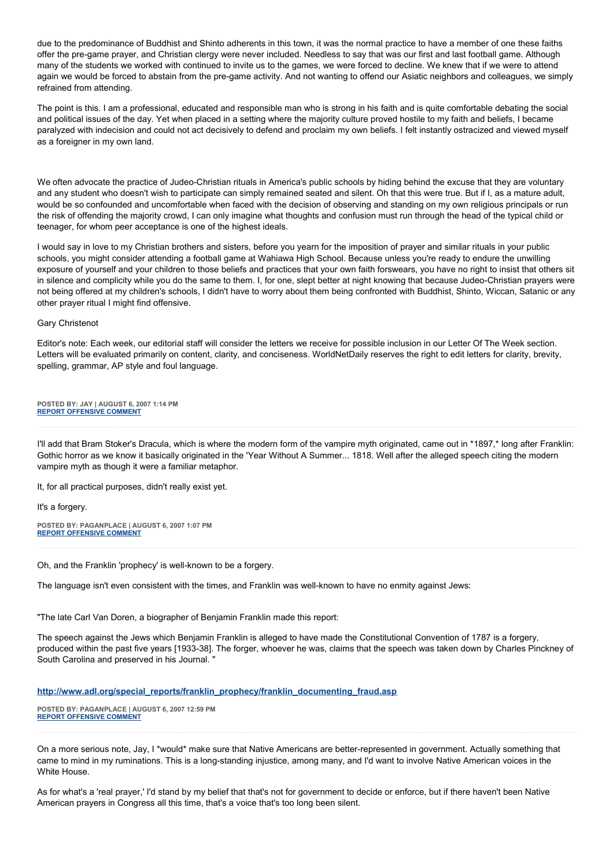due to the predominance of Buddhist and Shinto adherents in this town, it was the normal practice to have a member of one these faiths offer the pre-game prayer, and Christian clergy were never included. Needless to say that was our first and last football game. Although many of the students we worked with continued to invite us to the games, we were forced to decline. We knew that if we were to attend again we would be forced to abstain from the pre-game activity. And not wanting to offend our Asiatic neighbors and colleagues, we simply refrained from attending.

The point is this. I am a professional, educated and responsible man who is strong in his faith and is quite comfortable debating the social and political issues of the day. Yet when placed in a setting where the majority culture proved hostile to my faith and beliefs, I became paralyzed with indecision and could not act decisively to defend and proclaim my own beliefs. I felt instantly ostracized and viewed myself as a foreigner in my own land.

We often advocate the practice of Judeo-Christian rituals in America's public schools by hiding behind the excuse that they are voluntary and any student who doesn't wish to participate can simply remained seated and silent. Oh that this were true. But if I, as a mature adult, would be so confounded and uncomfortable when faced with the decision of observing and standing on my own religious principals or run the risk of offending the majority crowd, I can only imagine what thoughts and confusion must run through the head of the typical child or teenager, for whom peer acceptance is one of the highest ideals.

I would say in love to my Christian brothers and sisters, before you yearn for the imposition of prayer and similar rituals in your public schools, you might consider attending a football game at Wahiawa High School. Because unless you're ready to endure the unwilling exposure of yourself and your children to those beliefs and practices that your own faith forswears, you have no right to insist that others sit in silence and complicity while you do the same to them. I, for one, slept better at night knowing that because Judeo-Christian prayers were not being offered at my children's schools, I didn't have to worry about them being confronted with Buddhist, Shinto, Wiccan, Satanic or any other prayer ritual I might find offensive.

#### Gary Christenot

Editor's note: Each week, our editorial staff will consider the letters we receive for possible inclusion in our Letter Of The Week section. Letters will be evaluated primarily on content, clarity, and conciseness. WorldNetDaily reserves the right to edit letters for clarity, brevity, spelling, grammar, AP style and foul language.

**POSTED BY: JAY | AUGUST 6, 2007 1:14 PM [REPORT OFFENSIVE COMMENT](mailto:blogs@washingtonpost.com?subject=On%20Faith%20Panelists%20Blog%20%20%7C%20%20JAY%20%20%7C%20%20YES%20to%20the%20Prayer%20and%20the%20Protesters%20%20%7C%20%201223970&body=%0D%0D%0D%0D%0D================%0D?__mode=view%26_type=comment%26id=1223970%26blog_id=618)**

I'll add that Bram Stoker's Dracula, which is where the modern form of the vampire myth originated, came out in \*1897,\* long after Franklin: Gothic horror as we know it basically originated in the 'Year Without A Summer... 1818. Well after the alleged speech citing the modern vampire myth as though it were a familiar metaphor.

It, for all practical purposes, didn't really exist yet.

It's a forgery.

**POSTED BY: PAGANPLACE | AUGUST 6, 2007 1:07 PM [REPORT OFFENSIVE COMMENT](mailto:blogs@washingtonpost.com?subject=On%20Faith%20Panelists%20Blog%20%20%7C%20%20Paganplace%20%20%7C%20%20YES%20to%20the%20Prayer%20and%20the%20Protesters%20%20%7C%20%201223955&body=%0D%0D%0D%0D%0D================%0D?__mode=view%26_type=comment%26id=1223955%26blog_id=618)**

Oh, and the Franklin 'prophecy' is well-known to be a forgery.

The language isn't even consistent with the times, and Franklin was well-known to have no enmity against Jews:

"The late Carl Van Doren, a biographer of Benjamin Franklin made this report:

The speech against the Jews which Benjamin Franklin is alleged to have made the Constitutional Convention of 1787 is a forgery, produced within the past five years [1933-38]. The forger, whoever he was, claims that the speech was taken down by Charles Pinckney of South Carolina and preserved in his Journal. "

## **[http://www.adl.org/special\\_reports/franklin\\_prophecy/franklin\\_documenting\\_fraud.asp](http://www.adl.org/special_reports/franklin_prophecy/franklin_documenting_fraud.asp)**

**POSTED BY: PAGANPLACE | AUGUST 6, 2007 12:59 PM [REPORT OFFENSIVE COMMENT](mailto:blogs@washingtonpost.com?subject=On%20Faith%20Panelists%20Blog%20%20%7C%20%20Paganplace%20%20%7C%20%20YES%20to%20the%20Prayer%20and%20the%20Protesters%20%20%7C%20%201223946&body=%0D%0D%0D%0D%0D================%0D?__mode=view%26_type=comment%26id=1223946%26blog_id=618)**

On a more serious note, Jay, I \*would\* make sure that Native Americans are better-represented in government. Actually something that came to mind in my ruminations. This is a long-standing injustice, among many, and I'd want to involve Native American voices in the White House.

As for what's a 'real prayer,' I'd stand by my belief that that's not for government to decide or enforce, but if there haven't been Native American prayers in Congress all this time, that's a voice that's too long been silent.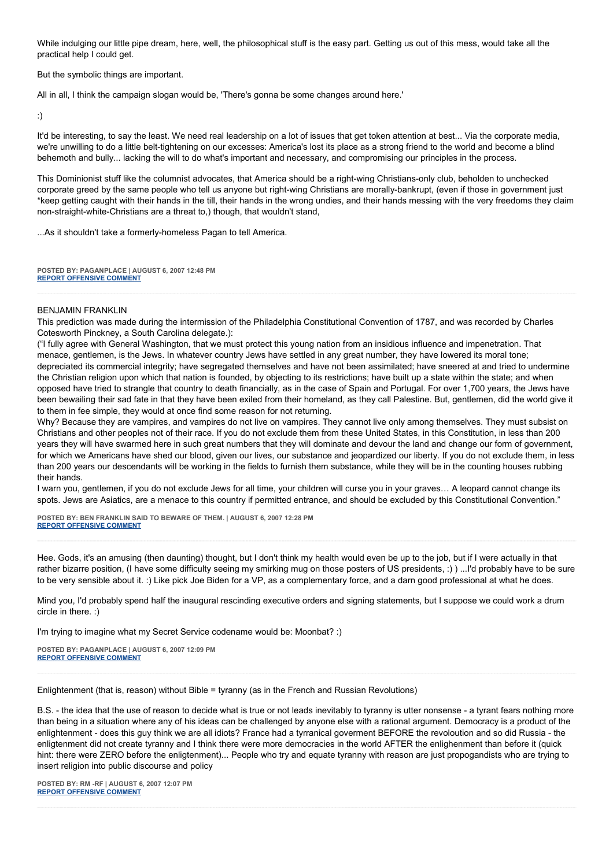While indulging our little pipe dream, here, well, the philosophical stuff is the easy part. Getting us out of this mess, would take all the practical help I could get.

But the symbolic things are important.

All in all, I think the campaign slogan would be, 'There's gonna be some changes around here.'

:)

It'd be interesting, to say the least. We need real leadership on a lot of issues that get token attention at best... Via the corporate media, we're unwilling to do a little belt-tightening on our excesses: America's lost its place as a strong friend to the world and become a blind behemoth and bully... lacking the will to do what's important and necessary, and compromising our principles in the process.

This Dominionist stuff like the columnist advocates, that America should be a right-wing Christians-only club, beholden to unchecked corporate greed by the same people who tell us anyone but right-wing Christians are morally-bankrupt, (even if those in government just \*keep getting caught with their hands in the till, their hands in the wrong undies, and their hands messing with the very freedoms they claim non-straight-white-Christians are a threat to,) though, that wouldn't stand,

...As it shouldn't take a formerly-homeless Pagan to tell America.

**POSTED BY: PAGANPLACE | AUGUST 6, 2007 12:48 PM [REPORT OFFENSIVE COMMENT](mailto:blogs@washingtonpost.com?subject=On%20Faith%20Panelists%20Blog%20%20%7C%20%20Paganplace%20%20%7C%20%20YES%20to%20the%20Prayer%20and%20the%20Protesters%20%20%7C%20%201223936&body=%0D%0D%0D%0D%0D================%0D?__mode=view%26_type=comment%26id=1223936%26blog_id=618)**

## BENJAMIN FRANKLIN

This prediction was made during the intermission of the Philadelphia Constitutional Convention of 1787, and was recorded by Charles Cotesworth Pinckney, a South Carolina delegate.):

("I fully agree with General Washington, that we must protect this young nation from an insidious influence and impenetration. That menace, gentlemen, is the Jews. In whatever country Jews have settled in any great number, they have lowered its moral tone; depreciated its commercial integrity; have segregated themselves and have not been assimilated; have sneered at and tried to undermine the Christian religion upon which that nation is founded, by objecting to its restrictions; have built up a state within the state; and when opposed have tried to strangle that country to death financially, as in the case of Spain and Portugal. For over 1,700 years, the Jews have been bewailing their sad fate in that they have been exiled from their homeland, as they call Palestine. But, gentlemen, did the world give it to them in fee simple, they would at once find some reason for not returning.

Why? Because they are vampires, and vampires do not live on vampires. They cannot live only among themselves. They must subsist on Christians and other peoples not of their race. If you do not exclude them from these United States, in this Constitution, in less than 200 years they will have swarmed here in such great numbers that they will dominate and devour the land and change our form of government, for which we Americans have shed our blood, given our lives, our substance and jeopardized our liberty. If you do not exclude them, in less than 200 years our descendants will be working in the fields to furnish them substance, while they will be in the counting houses rubbing their hands.

I warn you, gentlemen, if you do not exclude Jews for all time, your children will curse you in your graves… A leopard cannot change its spots. Jews are Asiatics, are a menace to this country if permitted entrance, and should be excluded by this Constitutional Convention."

**POSTED BY: BEN FRANKLIN SAID TO BEWARE OF THEM. | AUGUST 6, 2007 12:28 PM [REPORT OFFENSIVE COMMENT](mailto:blogs@washingtonpost.com?subject=On%20Faith%20Panelists%20Blog%20%20%7C%20%20Ben%20Franklin%20Said%20to%20beware%20of%20them.%20%20%7C%20%20YES%20to%20the%20Prayer%20and%20the%20Protesters%20%20%7C%20%201223902&body=%0D%0D%0D%0D%0D================%0D?__mode=view%26_type=comment%26id=1223902%26blog_id=618)**

Hee. Gods, it's an amusing (then daunting) thought, but I don't think my health would even be up to the job, but if I were actually in that rather bizarre position, (I have some difficulty seeing my smirking mug on those posters of US presidents, :) ) ...I'd probably have to be sure to be very sensible about it. :) Like pick Joe Biden for a VP, as a complementary force, and a darn good professional at what he does.

Mind you, I'd probably spend half the inaugural rescinding executive orders and signing statements, but I suppose we could work a drum circle in there. :)

I'm trying to imagine what my Secret Service codename would be: Moonbat? :)

**POSTED BY: PAGANPLACE | AUGUST 6, 2007 12:09 PM [REPORT OFFENSIVE COMMENT](mailto:blogs@washingtonpost.com?subject=On%20Faith%20Panelists%20Blog%20%20%7C%20%20Paganplace%20%20%7C%20%20YES%20to%20the%20Prayer%20and%20the%20Protesters%20%20%7C%20%201223875&body=%0D%0D%0D%0D%0D================%0D?__mode=view%26_type=comment%26id=1223875%26blog_id=618)**

Enlightenment (that is, reason) without Bible = tyranny (as in the French and Russian Revolutions)

B.S. - the idea that the use of reason to decide what is true or not leads inevitably to tyranny is utter nonsense - a tyrant fears nothing more than being in a situation where any of his ideas can be challenged by anyone else with a rational argument. Democracy is a product of the enlightenment - does this guy think we are all idiots? France had a tyrranical goverment BEFORE the revoloution and so did Russia - the enligtenment did not create tyranny and I think there were more democracies in the world AFTER the enlighenment than before it (quick hint: there were ZERO before the enligtenment)... People who try and equate tyranny with reason are just propogandists who are trying to insert religion into public discourse and policy

**POSTED BY: RM -RF | AUGUST 6, 2007 12:07 PM [REPORT OFFENSIVE COMMENT](mailto:blogs@washingtonpost.com?subject=On%20Faith%20Panelists%20Blog%20%20%7C%20%20rm%20-rf%20%20%7C%20%20YES%20to%20the%20Prayer%20and%20the%20Protesters%20%20%7C%20%201223872&body=%0D%0D%0D%0D%0D================%0D?__mode=view%26_type=comment%26id=1223872%26blog_id=618)**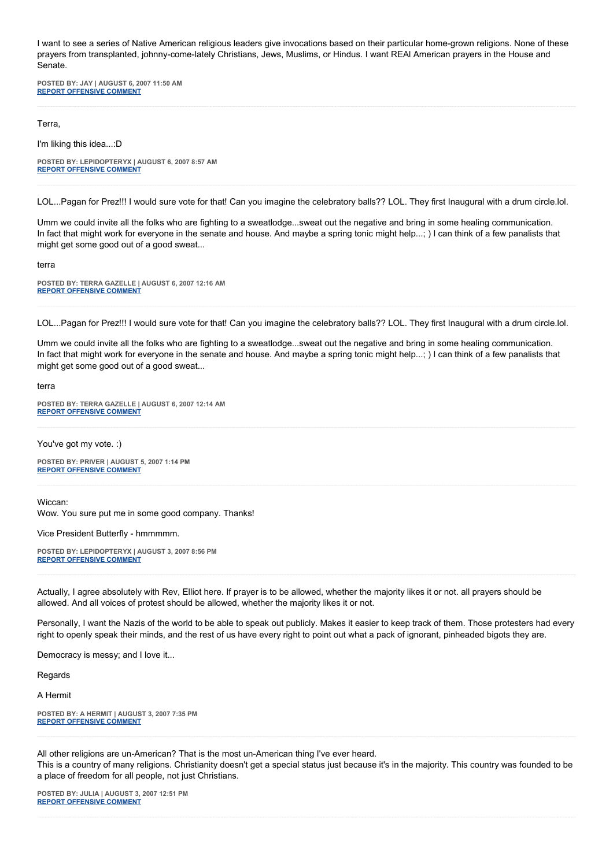I want to see a series of Native American religious leaders give invocations based on their particular home-grown religions. None of these prayers from transplanted, johnny-come-lately Christians, Jews, Muslims, or Hindus. I want REAl American prayers in the House and Senate.

**POSTED BY: JAY | AUGUST 6, 2007 11:50 AM [REPORT OFFENSIVE COMMENT](mailto:blogs@washingtonpost.com?subject=On%20Faith%20Panelists%20Blog%20%20%7C%20%20jay%20%20%7C%20%20YES%20to%20the%20Prayer%20and%20the%20Protesters%20%20%7C%20%201223846&body=%0D%0D%0D%0D%0D================%0D?__mode=view%26_type=comment%26id=1223846%26blog_id=618)**

#### Terra,

I'm liking this idea...:D

**POSTED BY: LEPIDOPTERYX | AUGUST 6, 2007 8:57 AM [REPORT OFFENSIVE COMMENT](mailto:blogs@washingtonpost.com?subject=On%20Faith%20Panelists%20Blog%20%20%7C%20%20lepidopteryx%20%20%7C%20%20YES%20to%20the%20Prayer%20and%20the%20Protesters%20%20%7C%20%201223537&body=%0D%0D%0D%0D%0D================%0D?__mode=view%26_type=comment%26id=1223537%26blog_id=618)**

LOL...Pagan for Prez!!! I would sure vote for that! Can you imagine the celebratory balls?? LOL. They first Inaugural with a drum circle.lol.

Umm we could invite all the folks who are fighting to a sweatlodge...sweat out the negative and bring in some healing communication. In fact that might work for everyone in the senate and house. And maybe a spring tonic might help...; ) I can think of a few panalists that might get some good out of a good sweat...

terra

**POSTED BY: TERRA GAZELLE | AUGUST 6, 2007 12:16 AM [REPORT OFFENSIVE COMMENT](mailto:blogs@washingtonpost.com?subject=On%20Faith%20Panelists%20Blog%20%20%7C%20%20Terra%20Gazelle%20%20%7C%20%20YES%20to%20the%20Prayer%20and%20the%20Protesters%20%20%7C%20%201222714&body=%0D%0D%0D%0D%0D================%0D?__mode=view%26_type=comment%26id=1222714%26blog_id=618)**

LOL...Pagan for Prez!!! I would sure vote for that! Can you imagine the celebratory balls?? LOL. They first Inaugural with a drum circle.lol.

Umm we could invite all the folks who are fighting to a sweatlodge...sweat out the negative and bring in some healing communication. In fact that might work for everyone in the senate and house. And maybe a spring tonic might help...; ) I can think of a few panalists that might get some good out of a good sweat...

terra

**POSTED BY: TERRA GAZELLE | AUGUST 6, 2007 12:14 AM [REPORT OFFENSIVE COMMENT](mailto:blogs@washingtonpost.com?subject=On%20Faith%20Panelists%20Blog%20%20%7C%20%20Terra%20Gazelle%20%20%7C%20%20YES%20to%20the%20Prayer%20and%20the%20Protesters%20%20%7C%20%201222711&body=%0D%0D%0D%0D%0D================%0D?__mode=view%26_type=comment%26id=1222711%26blog_id=618)**

You've got my vote. :)

**POSTED BY: PRIVER | AUGUST 5, 2007 1:14 PM [REPORT OFFENSIVE COMMENT](mailto:blogs@washingtonpost.com?subject=On%20Faith%20Panelists%20Blog%20%20%7C%20%20PriveR%20%20%7C%20%20YES%20to%20the%20Prayer%20and%20the%20Protesters%20%20%7C%20%201221638&body=%0D%0D%0D%0D%0D================%0D?__mode=view%26_type=comment%26id=1221638%26blog_id=618)**

Wiccan: Wow. You sure put me in some good company. Thanks!

Vice President Butterfly - hmmmmm.

**POSTED BY: LEPIDOPTERYX | AUGUST 3, 2007 8:56 PM [REPORT OFFENSIVE COMMENT](mailto:blogs@washingtonpost.com?subject=On%20Faith%20Panelists%20Blog%20%20%7C%20%20lepidopteryx%20%20%7C%20%20YES%20to%20the%20Prayer%20and%20the%20Protesters%20%20%7C%20%201216915&body=%0D%0D%0D%0D%0D================%0D?__mode=view%26_type=comment%26id=1216915%26blog_id=618)**

Actually, I agree absolutely with Rev, Elliot here. If prayer is to be allowed, whether the majority likes it or not. all prayers should be allowed. And all voices of protest should be allowed, whether the majority likes it or not.

Personally, I want the Nazis of the world to be able to speak out publicly. Makes it easier to keep track of them. Those protesters had every right to openly speak their minds, and the rest of us have every right to point out what a pack of ignorant, pinheaded bigots they are.

Democracy is messy; and I love it...

Regards

A Hermit

**POSTED BY: A HERMIT | AUGUST 3, 2007 7:35 PM [REPORT OFFENSIVE COMMENT](mailto:blogs@washingtonpost.com?subject=On%20Faith%20Panelists%20Blog%20%20%7C%20%20A%20Hermit%20%20%7C%20%20YES%20to%20the%20Prayer%20and%20the%20Protesters%20%20%7C%20%201216727&body=%0D%0D%0D%0D%0D================%0D?__mode=view%26_type=comment%26id=1216727%26blog_id=618)**

All other religions are un-American? That is the most un-American thing I've ever heard.

This is a country of many religions. Christianity doesn't get a special status just because it's in the majority. This country was founded to be a place of freedom for all people, not just Christians.

**POSTED BY: JULIA | AUGUST 3, 2007 12:51 PM [REPORT OFFENSIVE COMMENT](mailto:blogs@washingtonpost.com?subject=On%20Faith%20Panelists%20Blog%20%20%7C%20%20julia%20%20%7C%20%20YES%20to%20the%20Prayer%20and%20the%20Protesters%20%20%7C%20%201215873&body=%0D%0D%0D%0D%0D================%0D?__mode=view%26_type=comment%26id=1215873%26blog_id=618)**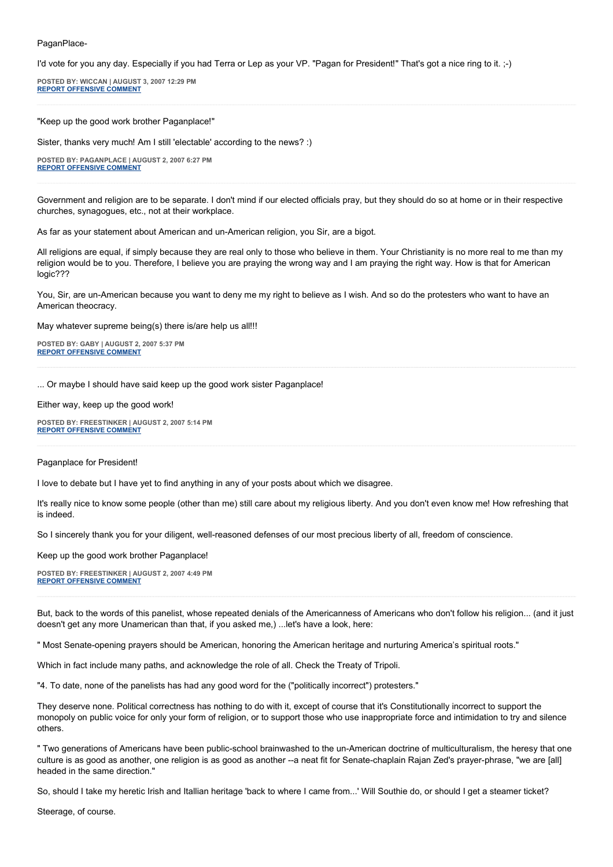## PaganPlace-

I'd vote for you any day. Especially if you had Terra or Lep as your VP. "Pagan for President!" That's got a nice ring to it. ;-)

**POSTED BY: WICCAN | AUGUST 3, 2007 12:29 PM [REPORT OFFENSIVE COMMENT](mailto:blogs@washingtonpost.com?subject=On%20Faith%20Panelists%20Blog%20%20%7C%20%20wiccan%20%20%7C%20%20YES%20to%20the%20Prayer%20and%20the%20Protesters%20%20%7C%20%201215837&body=%0D%0D%0D%0D%0D================%0D?__mode=view%26_type=comment%26id=1215837%26blog_id=618)**

"Keep up the good work brother Paganplace!"

Sister, thanks very much! Am I still 'electable' according to the news? :)

**POSTED BY: PAGANPLACE | AUGUST 2, 2007 6:27 PM [REPORT OFFENSIVE COMMENT](mailto:blogs@washingtonpost.com?subject=On%20Faith%20Panelists%20Blog%20%20%7C%20%20Paganplace%20%20%7C%20%20YES%20to%20the%20Prayer%20and%20the%20Protesters%20%20%7C%20%201214089&body=%0D%0D%0D%0D%0D================%0D?__mode=view%26_type=comment%26id=1214089%26blog_id=618)**

Government and religion are to be separate. I don't mind if our elected officials pray, but they should do so at home or in their respective churches, synagogues, etc., not at their workplace.

As far as your statement about American and un-American religion, you Sir, are a bigot.

All religions are equal, if simply because they are real only to those who believe in them. Your Christianity is no more real to me than my religion would be to you. Therefore, I believe you are praying the wrong way and I am praying the right way. How is that for American logic???

You, Sir, are un-American because you want to deny me my right to believe as I wish. And so do the protesters who want to have an American theocracy.

May whatever supreme being(s) there is/are help us all!!!

**POSTED BY: GABY | AUGUST 2, 2007 5:37 PM [REPORT OFFENSIVE COMMENT](mailto:blogs@washingtonpost.com?subject=On%20Faith%20Panelists%20Blog%20%20%7C%20%20Gaby%20%20%7C%20%20YES%20to%20the%20Prayer%20and%20the%20Protesters%20%20%7C%20%201213988&body=%0D%0D%0D%0D%0D================%0D?__mode=view%26_type=comment%26id=1213988%26blog_id=618)**

... Or maybe I should have said keep up the good work sister Paganplace!

Either way, keep up the good work!

**POSTED BY: FREESTINKER | AUGUST 2, 2007 5:14 PM [REPORT OFFENSIVE COMMENT](mailto:blogs@washingtonpost.com?subject=On%20Faith%20Panelists%20Blog%20%20%7C%20%20Freestinker%20%20%7C%20%20YES%20to%20the%20Prayer%20and%20the%20Protesters%20%20%7C%20%201213939&body=%0D%0D%0D%0D%0D================%0D?__mode=view%26_type=comment%26id=1213939%26blog_id=618)**

Paganplace for President!

I love to debate but I have yet to find anything in any of your posts about which we disagree.

It's really nice to know some people (other than me) still care about my religious liberty. And you don't even know me! How refreshing that is indeed.

So I sincerely thank you for your diligent, well-reasoned defenses of our most precious liberty of all, freedom of conscience.

Keep up the good work brother Paganplace!

**POSTED BY: FREESTINKER | AUGUST 2, 2007 4:49 PM [REPORT OFFENSIVE COMMENT](mailto:blogs@washingtonpost.com?subject=On%20Faith%20Panelists%20Blog%20%20%7C%20%20Freestinker%20%20%7C%20%20YES%20to%20the%20Prayer%20and%20the%20Protesters%20%20%7C%20%201213879&body=%0D%0D%0D%0D%0D================%0D?__mode=view%26_type=comment%26id=1213879%26blog_id=618)**

But, back to the words of this panelist, whose repeated denials of the Americanness of Americans who don't follow his religion... (and it just doesn't get any more Unamerican than that, if you asked me,) ...let's have a look, here:

" Most Senate-opening prayers should be American, honoring the American heritage and nurturing America's spiritual roots."

Which in fact include many paths, and acknowledge the role of all. Check the Treaty of Tripoli.

"4. To date, none of the panelists has had any good word for the ("politically incorrect") protesters."

They deserve none. Political correctness has nothing to do with it, except of course that it's Constitutionally incorrect to support the monopoly on public voice for only your form of religion, or to support those who use inappropriate force and intimidation to try and silence others.

" Two generations of Americans have been public-school brainwashed to the un-American doctrine of multiculturalism, the heresy that one culture is as good as another, one religion is as good as another --a neat fit for Senate-chaplain Rajan Zed's prayer-phrase, "we are [all] headed in the same direction."

So, should I take my heretic Irish and Itallian heritage 'back to where I came from...' Will Southie do, or should I get a steamer ticket?

Steerage, of course.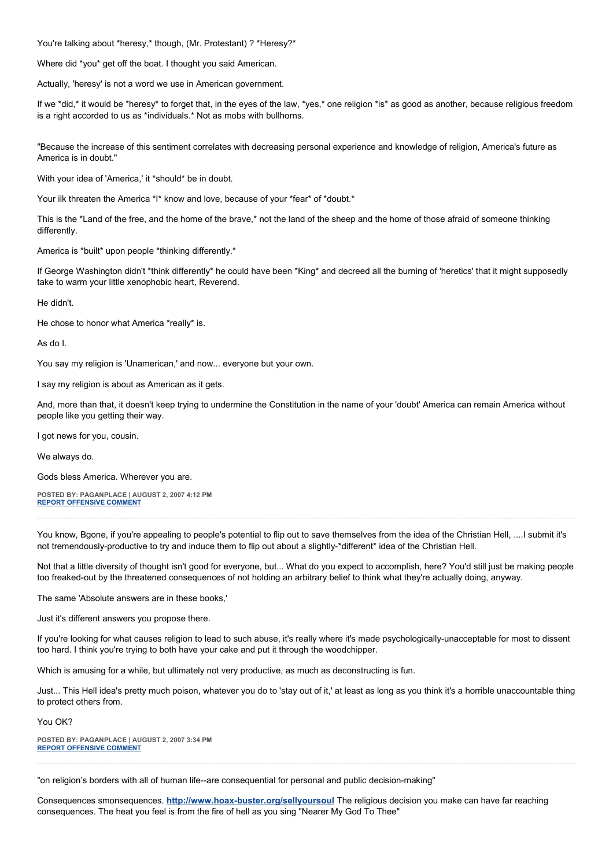You're talking about \*heresy,\* though, (Mr. Protestant) ? \*Heresy?\*

Where did \*you\* get off the boat. I thought you said American.

Actually, 'heresy' is not a word we use in American government.

If we \*did,\* it would be \*heresy\* to forget that, in the eyes of the law, \*yes,\* one religion \*is\* as good as another, because religious freedom is a right accorded to us as \*individuals.\* Not as mobs with bullhorns.

"Because the increase of this sentiment correlates with decreasing personal experience and knowledge of religion, America's future as America is in doubt."

With your idea of 'America,' it \*should\* be in doubt.

Your ilk threaten the America \*I\* know and love, because of your \*fear\* of \*doubt.\*

This is the \*Land of the free, and the home of the brave,\* not the land of the sheep and the home of those afraid of someone thinking differently.

America is \*built\* upon people \*thinking differently.\*

If George Washington didn't \*think differently\* he could have been \*King\* and decreed all the burning of 'heretics' that it might supposedly take to warm your little xenophobic heart, Reverend.

He didn't.

He chose to honor what America \*really\* is.

As do I.

You say my religion is 'Unamerican,' and now... everyone but your own.

I say my religion is about as American as it gets.

And, more than that, it doesn't keep trying to undermine the Constitution in the name of your 'doubt' America can remain America without people like you getting their way.

I got news for you, cousin.

We always do.

Gods bless America. Wherever you are.

**POSTED BY: PAGANPLACE | AUGUST 2, 2007 4:12 PM [REPORT OFFENSIVE COMMENT](mailto:blogs@washingtonpost.com?subject=On%20Faith%20Panelists%20Blog%20%20%7C%20%20Paganplace%20%20%7C%20%20YES%20to%20the%20Prayer%20and%20the%20Protesters%20%20%7C%20%201213793&body=%0D%0D%0D%0D%0D================%0D?__mode=view%26_type=comment%26id=1213793%26blog_id=618)**

You know, Bgone, if you're appealing to people's potential to flip out to save themselves from the idea of the Christian Hell, .... I submit it's not tremendously-productive to try and induce them to flip out about a slightly-\*different\* idea of the Christian Hell.

Not that a little diversity of thought isn't good for everyone, but... What do you expect to accomplish, here? You'd still just be making people too freaked-out by the threatened consequences of not holding an arbitrary belief to think what they're actually doing, anyway.

The same 'Absolute answers are in these books,'

Just it's different answers you propose there.

If you're looking for what causes religion to lead to such abuse, it's really where it's made psychologically-unacceptable for most to dissent too hard. I think you're trying to both have your cake and put it through the woodchipper.

Which is amusing for a while, but ultimately not very productive, as much as deconstructing is fun.

Just... This Hell idea's pretty much poison, whatever you do to 'stay out of it,' at least as long as you think it's a horrible unaccountable thing to protect others from.

You OK?

**POSTED BY: PAGANPLACE | AUGUST 2, 2007 3:34 PM [REPORT OFFENSIVE COMMENT](mailto:blogs@washingtonpost.com?subject=On%20Faith%20Panelists%20Blog%20%20%7C%20%20Paganplace%20%20%7C%20%20YES%20to%20the%20Prayer%20and%20the%20Protesters%20%20%7C%20%201213700&body=%0D%0D%0D%0D%0D================%0D?__mode=view%26_type=comment%26id=1213700%26blog_id=618)**

"on religion's borders with all of human life--are consequential for personal and public decision-making"

Consequences smonsequences. **<http://www.hoax-buster.org/sellyoursoul>** The religious decision you make can have far reaching consequences. The heat you feel is from the fire of hell as you sing "Nearer My God To Thee"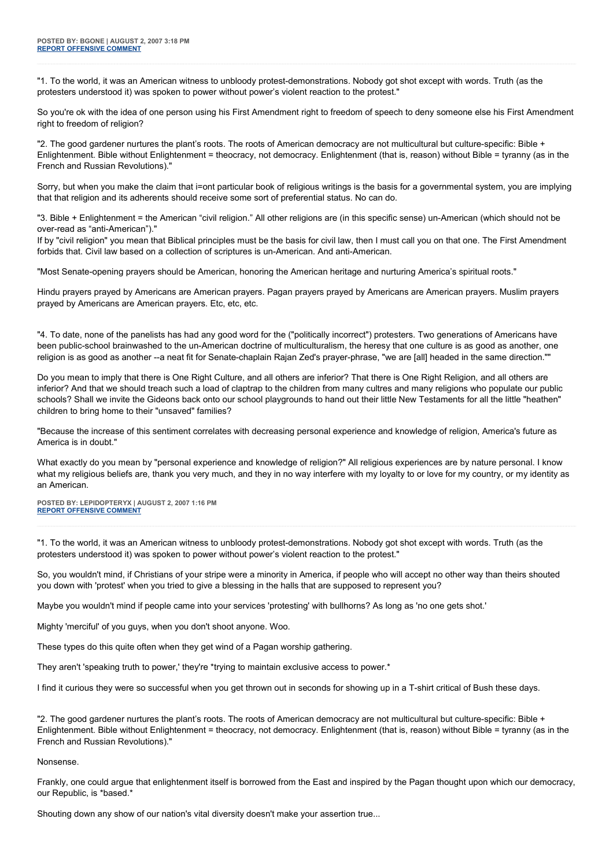"1. To the world, it was an American witness to unbloody protest-demonstrations. Nobody got shot except with words. Truth (as the protesters understood it) was spoken to power without power's violent reaction to the protest."

So you're ok with the idea of one person using his First Amendment right to freedom of speech to deny someone else his First Amendment right to freedom of religion?

"2. The good gardener nurtures the plant's roots. The roots of American democracy are not multicultural but culture-specific: Bible + Enlightenment. Bible without Enlightenment = theocracy, not democracy. Enlightenment (that is, reason) without Bible = tyranny (as in the French and Russian Revolutions)."

Sorry, but when you make the claim that i=ont particular book of religious writings is the basis for a governmental system, you are implying that that religion and its adherents should receive some sort of preferential status. No can do.

"3. Bible + Enlightenment = the American "civil religion." All other religions are (in this specific sense) un-American (which should not be over-read as "anti-American")."

If by "civil religion" you mean that Biblical principles must be the basis for civil law, then I must call you on that one. The First Amendment forbids that. Civil law based on a collection of scriptures is un-American. And anti-American.

"Most Senate-opening prayers should be American, honoring the American heritage and nurturing America's spiritual roots."

Hindu prayers prayed by Americans are American prayers. Pagan prayers prayed by Americans are American prayers. Muslim prayers prayed by Americans are American prayers. Etc, etc, etc.

"4. To date, none of the panelists has had any good word for the ("politically incorrect") protesters. Two generations of Americans have been public-school brainwashed to the un-American doctrine of multiculturalism, the heresy that one culture is as good as another, one religion is as good as another --a neat fit for Senate-chaplain Rajan Zed's prayer-phrase, "we are [all] headed in the same direction.""

Do you mean to imply that there is One Right Culture, and all others are inferior? That there is One Right Religion, and all others are inferior? And that we should treach such a load of claptrap to the children from many cultres and many religions who populate our public schools? Shall we invite the Gideons back onto our school playgrounds to hand out their little New Testaments for all the little "heathen" children to bring home to their "unsaved" families?

"Because the increase of this sentiment correlates with decreasing personal experience and knowledge of religion, America's future as America is in doubt."

What exactly do you mean by "personal experience and knowledge of religion?" All religious experiences are by nature personal. I know what my religious beliefs are, thank you very much, and they in no way interfere with my loyalty to or love for my country, or my identity as an American.

**POSTED BY: LEPIDOPTERYX | AUGUST 2, 2007 1:16 PM [REPORT OFFENSIVE COMMENT](mailto:blogs@washingtonpost.com?subject=On%20Faith%20Panelists%20Blog%20%20%7C%20%20lepidopteryx%20%20%7C%20%20YES%20to%20the%20Prayer%20and%20the%20Protesters%20%20%7C%20%201213328&body=%0D%0D%0D%0D%0D================%0D?__mode=view%26_type=comment%26id=1213328%26blog_id=618)**

"1. To the world, it was an American witness to unbloody protest-demonstrations. Nobody got shot except with words. Truth (as the protesters understood it) was spoken to power without power's violent reaction to the protest."

So, you wouldn't mind, if Christians of your stripe were a minority in America, if people who will accept no other way than theirs shouted you down with 'protest' when you tried to give a blessing in the halls that are supposed to represent you?

Maybe you wouldn't mind if people came into your services 'protesting' with bullhorns? As long as 'no one gets shot.'

Mighty 'merciful' of you guys, when you don't shoot anyone. Woo.

These types do this quite often when they get wind of a Pagan worship gathering.

They aren't 'speaking truth to power,' they're \*trying to maintain exclusive access to power.\*

I find it curious they were so successful when you get thrown out in seconds for showing up in a T-shirt critical of Bush these days.

"2. The good gardener nurtures the plant's roots. The roots of American democracy are not multicultural but culture-specific: Bible + Enlightenment. Bible without Enlightenment = theocracy, not democracy. Enlightenment (that is, reason) without Bible = tyranny (as in the French and Russian Revolutions)."

## Nonsense.

Frankly, one could argue that enlightenment itself is borrowed from the East and inspired by the Pagan thought upon which our democracy, our Republic, is \*based.\*

Shouting down any show of our nation's vital diversity doesn't make your assertion true...